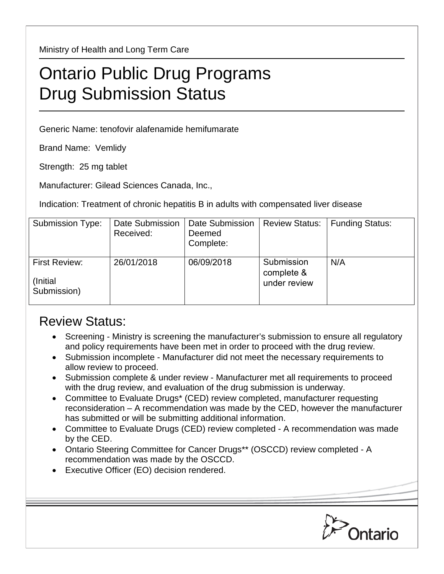Ministry of Health and Long Term Care

## Ontario Public Drug Programs Drug Submission Status

Generic Name: tenofovir alafenamide hemifumarate

Brand Name: Vemlidy

Strength: 25 mg tablet

Manufacturer: Gilead Sciences Canada, Inc.,

Indication: Treatment of chronic hepatitis B in adults with compensated liver disease

| Submission Type:                         | Date Submission<br>Received: | Date Submission<br>Deemed<br>Complete: | <b>Review Status:</b>                    | <b>Funding Status:</b> |
|------------------------------------------|------------------------------|----------------------------------------|------------------------------------------|------------------------|
| First Review:<br>(Initial<br>Submission) | 26/01/2018                   | 06/09/2018                             | Submission<br>complete &<br>under review | N/A                    |

## Review Status:

- Screening Ministry is screening the manufacturer's submission to ensure all regulatory and policy requirements have been met in order to proceed with the drug review.
- Submission incomplete Manufacturer did not meet the necessary requirements to allow review to proceed.
- Submission complete & under review Manufacturer met all requirements to proceed with the drug review, and evaluation of the drug submission is underway.
- Committee to Evaluate Drugs\* (CED) review completed, manufacturer requesting reconsideration – A recommendation was made by the CED, however the manufacturer has submitted or will be submitting additional information.
- Committee to Evaluate Drugs (CED) review completed A recommendation was made by the CED.
- Ontario Steering Committee for Cancer Drugs\*\* (OSCCD) review completed A recommendation was made by the OSCCD.
- Executive Officer (EO) decision rendered.